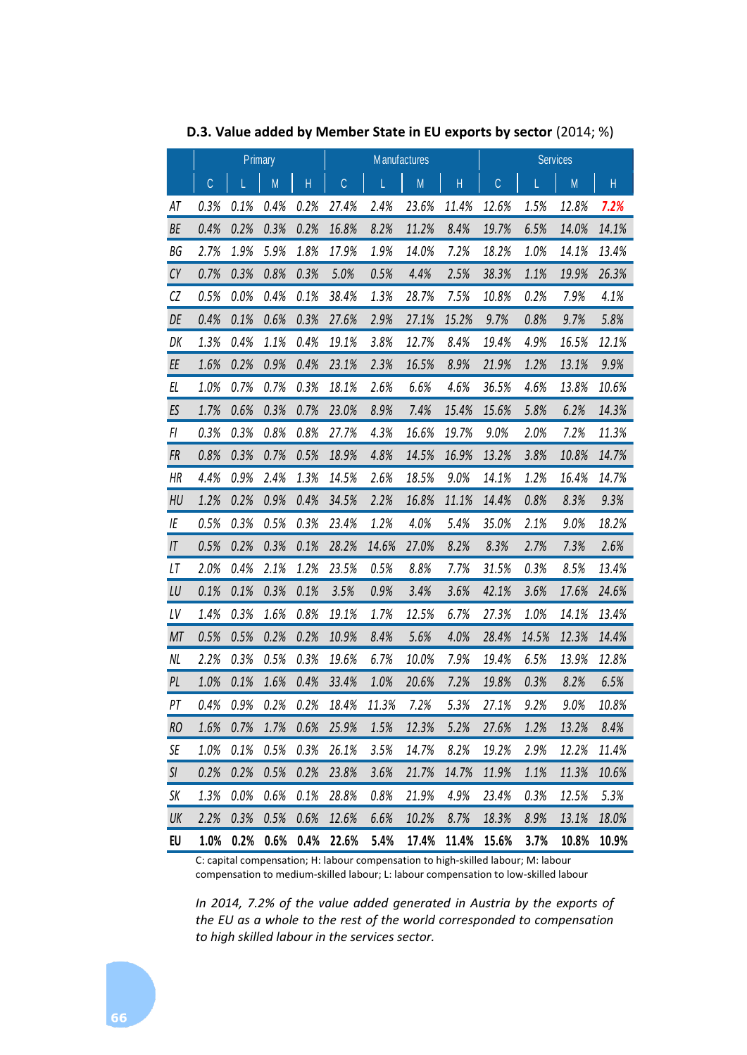| D.3. Value added by Member State in EU exports by sector (2014; %) |         |      |         |      |       |       |                     |       |                 |       |           |       |
|--------------------------------------------------------------------|---------|------|---------|------|-------|-------|---------------------|-------|-----------------|-------|-----------|-------|
|                                                                    | Primary |      |         |      |       |       | <b>Manufactures</b> |       | <b>Services</b> |       |           |       |
|                                                                    | C       |      | M       | H    | C     | L     | M                   | H     | $\mathbb{C}$    |       | ${\sf M}$ | Н     |
| ΑT                                                                 | 0.3%    | 0.1% | 0.4%    | 0.2% | 27.4% | 2.4%  | 23.6%               | 11.4% | 12.6%           | 1.5%  | 12.8%     | 7.2%  |
| BE                                                                 | 0.4%    | 0.2% | 0.3%    | 0.2% | 16.8% | 8.2%  | 11.2%               | 8.4%  | 19.7%           | 6.5%  | 14.0%     | 14.1% |
| ВG                                                                 | 2.7%    | 1.9% | 5.9%    | 1.8% | 17.9% | 1.9%  | 14.0%               | 7.2%  | 18.2%           | 1.0%  | 14.1%     | 13.4% |
| CY                                                                 | 0.7%    | 0.3% | 0.8%    | 0.3% | 5.0%  | 0.5%  | 4.4%                | 2.5%  | 38.3%           | 1.1%  | 19.9%     | 26.3% |
| CZ                                                                 | 0.5%    | 0.0% | 0.4%    | 0.1% | 38.4% | 1.3%  | 28.7%               | 7.5%  | 10.8%           | 0.2%  | 7.9%      | 4.1%  |
| DE                                                                 | 0.4%    | 0.1% | 0.6%    | 0.3% | 27.6% | 2.9%  | 27.1%               | 15.2% | 9.7%            | 0.8%  | 9.7%      | 5.8%  |
| DK                                                                 | 1.3%    | 0.4% | 1.1%    | 0.4% | 19.1% | 3.8%  | 12.7%               | 8.4%  | 19.4%           | 4.9%  | 16.5%     | 12.1% |
| EE                                                                 | 1.6%    | 0.2% | 0.9%    | 0.4% | 23.1% | 2.3%  | 16.5%               | 8.9%  | 21.9%           | 1.2%  | 13.1%     | 9.9%  |
| EL                                                                 | 1.0%    | 0.7% | 0.7%    | 0.3% | 18.1% | 2.6%  | 6.6%                | 4.6%  | 36.5%           | 4.6%  | 13.8%     | 10.6% |
| ES                                                                 | 1.7%    | 0.6% | 0.3%    | 0.7% | 23.0% | 8.9%  | 7.4%                | 15.4% | 15.6%           | 5.8%  | 6.2%      | 14.3% |
| FI                                                                 | 0.3%    | 0.3% | 0.8%    | 0.8% | 27.7% | 4.3%  | 16.6%               | 19.7% | 9.0%            | 2.0%  | 7.2%      | 11.3% |
| FR                                                                 | 0.8%    | 0.3% | 0.7%    | 0.5% | 18.9% | 4.8%  | 14.5%               | 16.9% | 13.2%           | 3.8%  | 10.8%     | 14.7% |
| НR                                                                 | 4.4%    | 0.9% | 2.4%    | 1.3% | 14.5% | 2.6%  | 18.5%               | 9.0%  | 14.1%           | 1.2%  | 16.4%     | 14.7% |
| HU                                                                 | 1.2%    | 0.2% | 0.9%    | 0.4% | 34.5% | 2.2%  | 16.8%               | 11.1% | 14.4%           | 0.8%  | 8.3%      | 9.3%  |
| ΙE                                                                 | 0.5%    | 0.3% | 0.5%    | 0.3% | 23.4% | 1.2%  | 4.0%                | 5.4%  | 35.0%           | 2.1%  | 9.0%      | 18.2% |
| IT                                                                 | 0.5%    | 0.2% | 0.3%    | 0.1% | 28.2% | 14.6% | 27.0%               | 8.2%  | 8.3%            | 2.7%  | 7.3%      | 2.6%  |
| LT                                                                 | 2.0%    | 0.4% | 2.1%    | 1.2% | 23.5% | 0.5%  | 8.8%                | 7.7%  | 31.5%           | 0.3%  | 8.5%      | 13.4% |
| LU                                                                 | 0.1%    | 0.1% | 0.3%    | 0.1% | 3.5%  | 0.9%  | 3.4%                | 3.6%  | 42.1%           | 3.6%  | 17.6%     | 24.6% |
| LV                                                                 | 1.4%    | 0.3% | 1.6%    | 0.8% | 19.1% | 1.7%  | 12.5%               | 6.7%  | 27.3%           | 1.0%  | 14.1%     | 13.4% |
| MT                                                                 | 0.5%    | 0.5% | 0.2%    | 0.2% | 10.9% | 8.4%  | 5.6%                | 4.0%  | 28.4%           | 14.5% | 12.3%     | 14.4% |
| NL                                                                 | 2.2%    | 0.3% | 0.5%    | 0.3% | 19.6% | 6.7%  | 10.0%               | 7.9%  | 19.4%           | 6.5%  | 13.9%     | 12.8% |
| PL                                                                 | 1.0%    | 0.1% | 1.6%    | 0.4% | 33.4% | 1.0%  | 20.6%               | 7.2%  | 19.8%           | 0.3%  | 8.2%      | 6.5%  |
| PT                                                                 | $0.4\%$ | 0.9% | $0.2\%$ | 0.2% | 18.4% | 11.3% | 7.2%                | 5.3%  | 27.1%           | 9.2%  | 9.0%      | 10.8% |
| RO                                                                 | 1.6%    | 0.7% | 1.7%    | 0.6% | 25.9% | 1.5%  | 12.3%               | 5.2%  | 27.6%           | 1.2%  | 13.2%     | 8.4%  |
| SE                                                                 | 1.0%    | 0.1% | 0.5%    | 0.3% | 26.1% | 3.5%  | 14.7%               | 8.2%  | 19.2%           | 2.9%  | 12.2%     | 11.4% |
| SI                                                                 | 0.2%    | 0.2% | 0.5%    | 0.2% | 23.8% | 3.6%  | 21.7%               | 14.7% | 11.9%           | 1.1%  | 11.3%     | 10.6% |
| SK                                                                 | 1.3%    | 0.0% | 0.6%    | 0.1% | 28.8% | 0.8%  | 21.9%               | 4.9%  | 23.4%           | 0.3%  | 12.5%     | 5.3%  |
| UK                                                                 | 2.2%    | 0.3% | 0.5%    | 0.6% | 12.6% | 6.6%  | 10.2%               | 8.7%  | 18.3%           | 8.9%  | 13.1%     | 18.0% |
| EU                                                                 | 1.0%    | 0.2% | 0.6%    | 0.4% | 22.6% | 5.4%  | 17.4%               | 11.4% | 15.6%           | 3.7%  | 10.8%     | 10.9% |

C: capital compensation; H: labour compensation to high-skilled labour; M: labour compensation to medium-skilled labour; L: labour compensation to low-skilled labour

*In 2014, 7.2% of the value added generated in Austria by the exports of the EU as a whole to the rest of the world corresponded to compensation to high skilled labour in the services sector.*